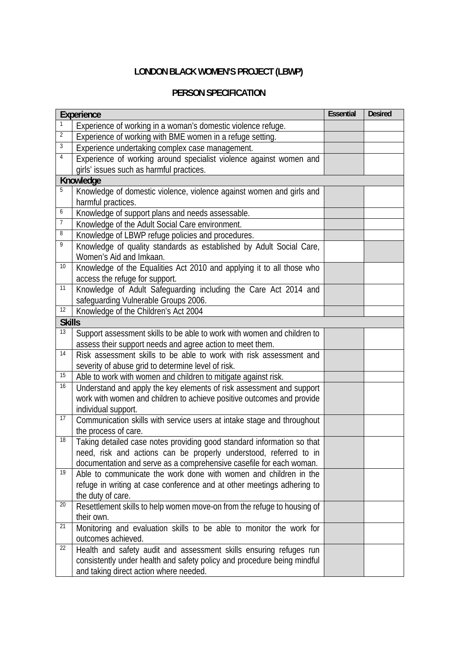## **LONDON BLACK WOMEN'S PROJECT (LBWP)**

## **PERSON SPECIFICATION**

| <b>Experience</b> |                                                                                       | <b>Essential</b> | <b>Desired</b> |  |  |
|-------------------|---------------------------------------------------------------------------------------|------------------|----------------|--|--|
|                   | Experience of working in a woman's domestic violence refuge.                          |                  |                |  |  |
| $\overline{2}$    | Experience of working with BME women in a refuge setting.                             |                  |                |  |  |
| 3                 | Experience undertaking complex case management.                                       |                  |                |  |  |
| 4                 | Experience of working around specialist violence against women and                    |                  |                |  |  |
|                   | girls' issues such as harmful practices.                                              |                  |                |  |  |
|                   | Knowledge                                                                             |                  |                |  |  |
| 5                 | Knowledge of domestic violence, violence against women and girls and                  |                  |                |  |  |
|                   | harmful practices.                                                                    |                  |                |  |  |
| 6                 | Knowledge of support plans and needs assessable.                                      |                  |                |  |  |
| $\overline{7}$    | Knowledge of the Adult Social Care environment.                                       |                  |                |  |  |
| 8                 | Knowledge of LBWP refuge policies and procedures.                                     |                  |                |  |  |
| 9                 | Knowledge of quality standards as established by Adult Social Care,                   |                  |                |  |  |
|                   | Women's Aid and Imkaan.                                                               |                  |                |  |  |
| 10                | Knowledge of the Equalities Act 2010 and applying it to all those who                 |                  |                |  |  |
|                   | access the refuge for support.                                                        |                  |                |  |  |
| 11                | Knowledge of Adult Safeguarding including the Care Act 2014 and                       |                  |                |  |  |
|                   | safeguarding Vulnerable Groups 2006.                                                  |                  |                |  |  |
| 12                | Knowledge of the Children's Act 2004                                                  |                  |                |  |  |
|                   | <b>Skills</b>                                                                         |                  |                |  |  |
| 13                | Support assessment skills to be able to work with women and children to               |                  |                |  |  |
|                   | assess their support needs and agree action to meet them.                             |                  |                |  |  |
| 14                | Risk assessment skills to be able to work with risk assessment and                    |                  |                |  |  |
|                   | severity of abuse grid to determine level of risk.                                    |                  |                |  |  |
| 15                | Able to work with women and children to mitigate against risk.                        |                  |                |  |  |
| 16                | Understand and apply the key elements of risk assessment and support                  |                  |                |  |  |
|                   | work with women and children to achieve positive outcomes and provide                 |                  |                |  |  |
|                   | individual support.                                                                   |                  |                |  |  |
| 17                | Communication skills with service users at intake stage and throughout                |                  |                |  |  |
| 18                | the process of care.                                                                  |                  |                |  |  |
|                   | Taking detailed case notes providing good standard information so that                |                  |                |  |  |
|                   | need, risk and actions can be properly understood, referred to in                     |                  |                |  |  |
| 19                | documentation and serve as a comprehensive casefile for each woman.                   |                  |                |  |  |
|                   | Able to communicate the work done with women and children in the                      |                  |                |  |  |
|                   | refuge in writing at case conference and at other meetings adhering to                |                  |                |  |  |
| 20                | the duty of care.                                                                     |                  |                |  |  |
|                   | Resettlement skills to help women move-on from the refuge to housing of<br>their own. |                  |                |  |  |
| 21                | Monitoring and evaluation skills to be able to monitor the work for                   |                  |                |  |  |
|                   | outcomes achieved.                                                                    |                  |                |  |  |
| 22                | Health and safety audit and assessment skills ensuring refuges run                    |                  |                |  |  |
|                   | consistently under health and safety policy and procedure being mindful               |                  |                |  |  |
|                   | and taking direct action where needed.                                                |                  |                |  |  |